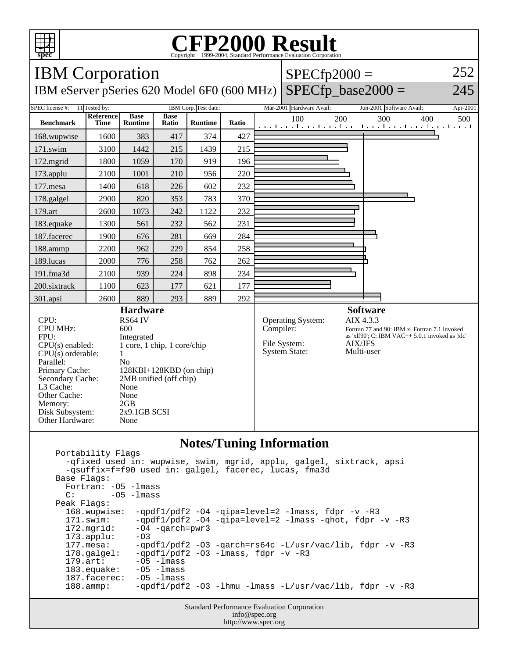

## **CFP2000 Result** Copyright ©1999-2004, Standard Performance Evaluation Corporation

| 252<br><b>IBM</b> Corporation<br>$SPECfp2000 =$<br>$SPECfp$ base2000 =<br>IBM eServer pSeries 620 Model 6F0 (600 MHz)<br>245                                                                                                                                                                                                                                                                                  |             |                |                                     |                |       |                                                      |                                                              |                                                              |                                                                                                    |          |
|---------------------------------------------------------------------------------------------------------------------------------------------------------------------------------------------------------------------------------------------------------------------------------------------------------------------------------------------------------------------------------------------------------------|-------------|----------------|-------------------------------------|----------------|-------|------------------------------------------------------|--------------------------------------------------------------|--------------------------------------------------------------|----------------------------------------------------------------------------------------------------|----------|
| <b>SPEC</b> license #:<br>11 Tested by:<br>Reference<br><b>Base</b>                                                                                                                                                                                                                                                                                                                                           |             |                | IBM Corp. Test date:<br><b>Base</b> |                |       | Mar-2001 Hardware Avail:<br>Jun-2001 Software Avail: |                                                              |                                                              |                                                                                                    | Apr-2001 |
| <b>Benchmark</b>                                                                                                                                                                                                                                                                                                                                                                                              | <b>Time</b> | <b>Runtime</b> | Ratio                               | <b>Runtime</b> | Ratio |                                                      | 100<br>المتعملة فبالمتعملة فبالمتعملة فبالمتعملة فبالمتحالفة | 200                                                          | 300<br>400                                                                                         | 500      |
| 168.wupwise                                                                                                                                                                                                                                                                                                                                                                                                   | 1600        | 383            | 417                                 | 374            | 427   |                                                      |                                                              |                                                              |                                                                                                    |          |
| 171.swim                                                                                                                                                                                                                                                                                                                                                                                                      | 3100        | 1442           | 215                                 | 1439           | 215   |                                                      |                                                              |                                                              |                                                                                                    |          |
| 172.mgrid                                                                                                                                                                                                                                                                                                                                                                                                     | 1800        | 1059           | 170                                 | 919            | 196   |                                                      |                                                              |                                                              |                                                                                                    |          |
| $173$ .applu                                                                                                                                                                                                                                                                                                                                                                                                  | 2100        | 1001           | 210                                 | 956            | 220   |                                                      |                                                              |                                                              |                                                                                                    |          |
| 177.mesa                                                                                                                                                                                                                                                                                                                                                                                                      | 1400        | 618            | 226                                 | 602            | 232   |                                                      |                                                              |                                                              |                                                                                                    |          |
| 178.galgel                                                                                                                                                                                                                                                                                                                                                                                                    | 2900        | 820            | 353                                 | 783            | 370   |                                                      |                                                              |                                                              |                                                                                                    |          |
| 179.art                                                                                                                                                                                                                                                                                                                                                                                                       | 2600        | 1073           | 242                                 | 1122           | 232   |                                                      |                                                              |                                                              |                                                                                                    |          |
| 183.equake                                                                                                                                                                                                                                                                                                                                                                                                    | 1300        | 561            | 232                                 | 562            | 231   |                                                      |                                                              |                                                              |                                                                                                    |          |
| 187.facerec                                                                                                                                                                                                                                                                                                                                                                                                   | 1900        | 676            | 281                                 | 669            | 284   |                                                      |                                                              |                                                              |                                                                                                    |          |
| 188.ammp                                                                                                                                                                                                                                                                                                                                                                                                      | 2200        | 962            | 229                                 | 854            | 258   |                                                      |                                                              |                                                              |                                                                                                    |          |
| 189.lucas                                                                                                                                                                                                                                                                                                                                                                                                     | 2000        | 776            | 258                                 | 762            | 262   |                                                      |                                                              |                                                              |                                                                                                    |          |
| 191.fma3d                                                                                                                                                                                                                                                                                                                                                                                                     | 2100        | 939            | 224                                 | 898            | 234   |                                                      |                                                              |                                                              |                                                                                                    |          |
| 200.sixtrack                                                                                                                                                                                                                                                                                                                                                                                                  | 1100        | 623            | 177                                 | 621            | 177   |                                                      |                                                              |                                                              |                                                                                                    |          |
| 301.apsi                                                                                                                                                                                                                                                                                                                                                                                                      | 2600        | 889            | 293                                 | 889            | 292   |                                                      |                                                              |                                                              |                                                                                                    |          |
| <b>Hardware</b><br>CPU:<br>RS64 IV<br><b>CPU MHz:</b><br>600<br>FPU:<br>Integrated<br>1 core, 1 chip, 1 core/chip<br>$CPU(s)$ enabled:<br>$CPU(s)$ orderable:<br>1<br>Parallel:<br>No<br>128KBI+128KBD (on chip)<br>Primary Cache:<br>Secondary Cache:<br>2MB unified (off chip)<br>L3 Cache:<br>None<br>Other Cache:<br>None<br>2GB<br>Memory:<br>2x9.1GB SCSI<br>Disk Subsystem:<br>Other Hardware:<br>None |             |                |                                     |                |       | Compiler:                                            | Operating System:<br>File System:<br><b>System State:</b>    | <b>Software</b><br>AIX 4.3.3<br><b>AIX/JFS</b><br>Multi-user | Fortran 77 and 90: IBM xl Fortran 7.1 invoked<br>as 'xlf90'; C: IBM VAC++ $5.0.1$ invoked as 'xlc' |          |

## **Notes/Tuning Information**

```
 Portability Flags
   -qfixed used in: wupwise, swim, mgrid, applu, galgel, sixtrack, apsi
   -qsuffix=f=f90 used in: galgel, facerec, lucas, fma3d
 Base Flags:
   Fortran: -O5 -lmass
  C: -05 -1mass
Peak Flags:<br>168.wupwise:
  168.wupwise: -qpdf1/pdf2 -O4 -qipa=level=2 -lmass, fdpr -v -R3<br>171.swim: -qpdf1/pdf2 -O4 -qipa=level=2 -lmass -qhot, fdpr
                    -qpdf1/pdf2 -O4 -qipa=level=2 -lmass -qhot, fdpr -v -R3
   172.mgrid: -O4 -qarch=pwr3
   173.applu: -O3
  177.mesa: -qpdf1/pdf2 -O3 -qarch=rs64c -L/usr/vac/lib, fdpr -v -R3<br>178.galgel: -qpdf1/pdf2 -O3 -lmass, fdpr -v -R3
   178.galgel: -qpdf1/pdf2 -O3 -lmass, fdpr -v -R3
                    -05 -lmass<br>-05 -lmass<br>-05 -lmass
  183.equake:
  187.facerec:
   188.ammp: -qpdf1/pdf2 -O3 -lhmu -lmass -L/usr/vac/lib, fdpr -v -R3
```
Standard Performance Evaluation Corporation info@spec.org http://www.spec.org